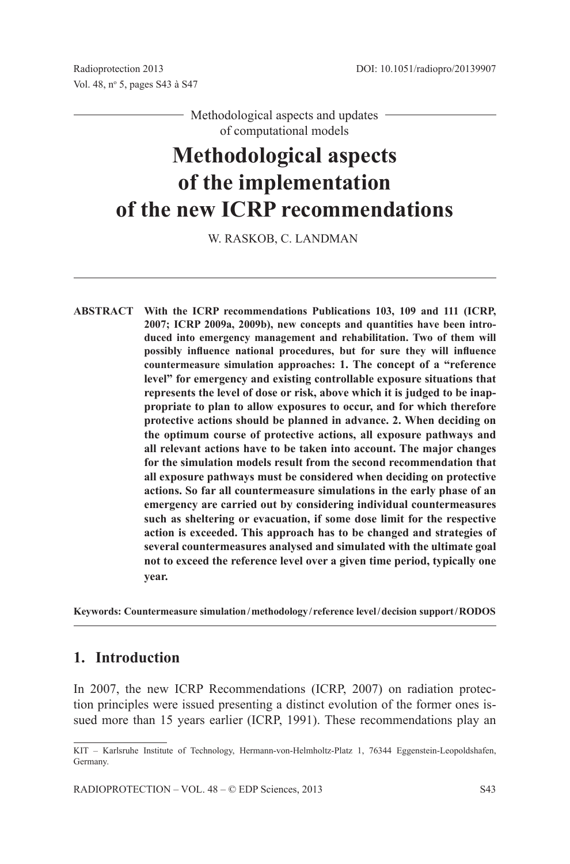- Methodological aspects and updates of computational models

# **Methodological aspects of the implementation of the new ICRP recommendations**

W. Raskob, C. Landman

**Abstract With the ICRP recommendations Publications 103, 109 and 111 (ICRP, 2007; ICRP 2009a, 2009b), new concepts and quantities have been introduced into emergency management and rehabilitation. Two of them will possibly influence national procedures, but for sure they will influence countermeasure simulation approaches: 1. The concept of a "reference level" for emergency and existing controllable exposure situations that represents the level of dose or risk, above which it is judged to be inappropriate to plan to allow exposures to occur, and for which therefore protective actions should be planned in advance. 2. When deciding on the optimum course of protective actions, all exposure pathways and all relevant actions have to be taken into account. The major changes for the simulation models result from the second recommendation that all exposure pathways must be considered when deciding on protective actions. So far all countermeasure simulations in the early phase of an emergency are carried out by considering individual countermeasures such as sheltering or evacuation, if some dose limit for the respective action is exceeded. This approach has to be changed and strategies of several countermeasures analysed and simulated with the ultimate goal not to exceed the reference level over a given time period, typically one year.**

**Keywords: Countermeasure simulation/methodology/ reference level/decision support/RODOS**

#### **1. Introduction**

In 2007, the new ICRP Recommendations (ICRP, 2007) on radiation protection principles were issued presenting a distinct evolution of the former ones issued more than 15 years earlier (ICRP, 1991). These recommendations play an

KIT – Karlsruhe Institute of Technology, Hermann-von-Helmholtz-Platz 1, 76344 Eggenstein-Leopoldshafen, Germany.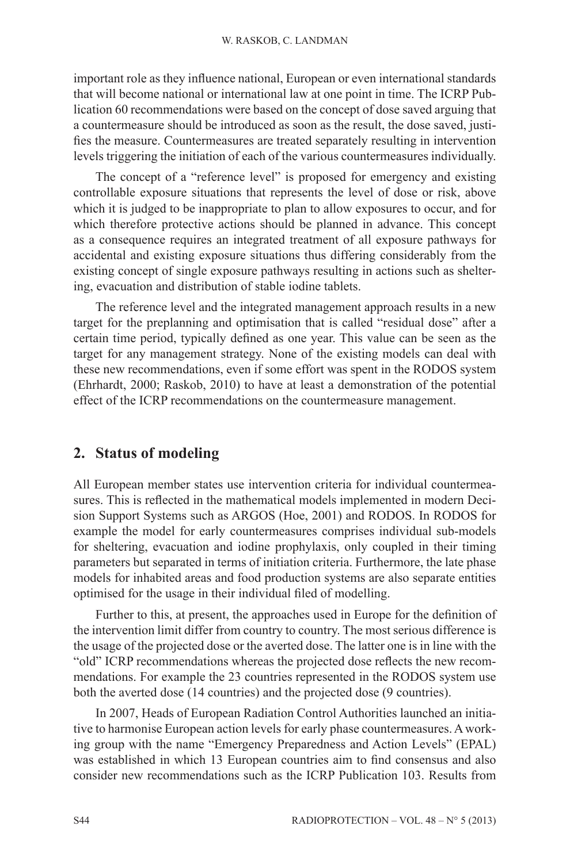important role as they influence national, European or even international standards that will become national or international law at one point in time. The ICRP Publication 60 recommendations were based on the concept of dose saved arguing that a countermeasure should be introduced as soon as the result, the dose saved, justifies the measure. Countermeasures are treated separately resulting in intervention levels triggering the initiation of each of the various countermeasures individually.

The concept of a "reference level" is proposed for emergency and existing controllable exposure situations that represents the level of dose or risk, above which it is judged to be inappropriate to plan to allow exposures to occur, and for which therefore protective actions should be planned in advance. This concept as a consequence requires an integrated treatment of all exposure pathways for accidental and existing exposure situations thus differing considerably from the existing concept of single exposure pathways resulting in actions such as sheltering, evacuation and distribution of stable iodine tablets.

The reference level and the integrated management approach results in a new target for the preplanning and optimisation that is called "residual dose" after a certain time period, typically defined as one year. This value can be seen as the target for any management strategy. None of the existing models can deal with these new recommendations, even if some effort was spent in the RODOS system (Ehrhardt, 2000; Raskob, 2010) to have at least a demonstration of the potential effect of the ICRP recommendations on the countermeasure management.

### **2. Status of modeling**

All European member states use intervention criteria for individual countermeasures. This is reflected in the mathematical models implemented in modern Decision Support Systems such as ARGOS (Hoe, 2001) and RODOS. In RODOS for example the model for early countermeasures comprises individual sub-models for sheltering, evacuation and iodine prophylaxis, only coupled in their timing parameters but separated in terms of initiation criteria. Furthermore, the late phase models for inhabited areas and food production systems are also separate entities optimised for the usage in their individual filed of modelling.

Further to this, at present, the approaches used in Europe for the definition of the intervention limit differ from country to country. The most serious difference is the usage of the projected dose or the averted dose. The latter one is in line with the "old" ICRP recommendations whereas the projected dose reflects the new recommendations. For example the 23 countries represented in the RODOS system use both the averted dose (14 countries) and the projected dose (9 countries).

In 2007, Heads of European Radiation Control Authorities launched an initiative to harmonise European action levels for early phase countermeasures. A working group with the name "Emergency Preparedness and Action Levels" (EPAL) was established in which 13 European countries aim to find consensus and also consider new recommendations such as the ICRP Publication 103. Results from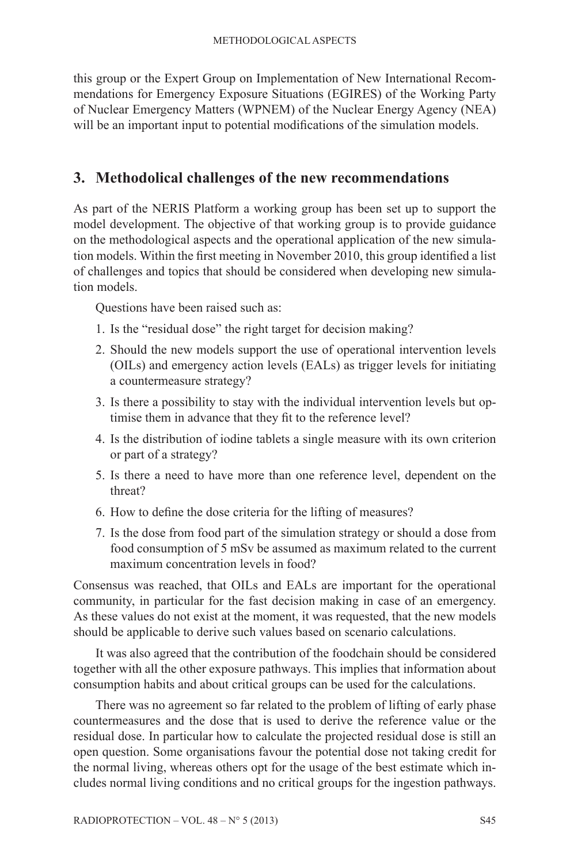this group or the Expert Group on Implementation of New International Recommendations for Emergency Exposure Situations (EGIRES) of the Working Party of Nuclear Emergency Matters (WPNEM) of the Nuclear Energy Agency (NEA) will be an important input to potential modifications of the simulation models.

#### **3. Methodolical challenges of the new recommendations**

As part of the NERIS Platform a working group has been set up to support the model development. The objective of that working group is to provide guidance on the methodological aspects and the operational application of the new simulation models. Within the first meeting in November 2010, this group identified a list of challenges and topics that should be considered when developing new simulation models.

Questions have been raised such as:

- 1. Is the "residual dose" the right target for decision making?
- 2. Should the new models support the use of operational intervention levels (OILs) and emergency action levels (EALs) as trigger levels for initiating a countermeasure strategy?
- 3. Is there a possibility to stay with the individual intervention levels but optimise them in advance that they fit to the reference level?
- 4. Is the distribution of iodine tablets a single measure with its own criterion or part of a strategy?
- 5. Is there a need to have more than one reference level, dependent on the threat?
- 6. How to define the dose criteria for the lifting of measures?
- 7. Is the dose from food part of the simulation strategy or should a dose from food consumption of 5 mSv be assumed as maximum related to the current maximum concentration levels in food?

Consensus was reached, that OILs and EALs are important for the operational community, in particular for the fast decision making in case of an emergency. As these values do not exist at the moment, it was requested, that the new models should be applicable to derive such values based on scenario calculations.

It was also agreed that the contribution of the foodchain should be considered together with all the other exposure pathways. This implies that information about consumption habits and about critical groups can be used for the calculations.

There was no agreement so far related to the problem of lifting of early phase countermeasures and the dose that is used to derive the reference value or the residual dose. In particular how to calculate the projected residual dose is still an open question. Some organisations favour the potential dose not taking credit for the normal living, whereas others opt for the usage of the best estimate which includes normal living conditions and no critical groups for the ingestion pathways.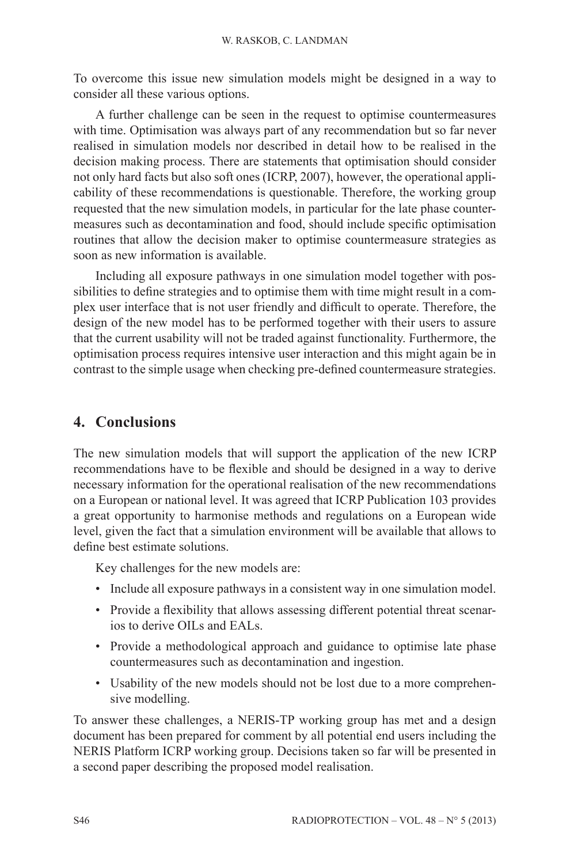To overcome this issue new simulation models might be designed in a way to consider all these various options.

A further challenge can be seen in the request to optimise countermeasures with time. Optimisation was always part of any recommendation but so far never realised in simulation models nor described in detail how to be realised in the decision making process. There are statements that optimisation should consider not only hard facts but also soft ones (ICRP, 2007), however, the operational applicability of these recommendations is questionable. Therefore, the working group requested that the new simulation models, in particular for the late phase countermeasures such as decontamination and food, should include specific optimisation routines that allow the decision maker to optimise countermeasure strategies as soon as new information is available.

Including all exposure pathways in one simulation model together with possibilities to define strategies and to optimise them with time might result in a complex user interface that is not user friendly and difficult to operate. Therefore, the design of the new model has to be performed together with their users to assure that the current usability will not be traded against functionality. Furthermore, the optimisation process requires intensive user interaction and this might again be in contrast to the simple usage when checking pre-defined countermeasure strategies.

## **4. Conclusions**

The new simulation models that will support the application of the new ICRP recommendations have to be flexible and should be designed in a way to derive necessary information for the operational realisation of the new recommendations on a European or national level. It was agreed that ICRP Publication 103 provides a great opportunity to harmonise methods and regulations on a European wide level, given the fact that a simulation environment will be available that allows to define best estimate solutions.

Key challenges for the new models are:

- Include all exposure pathways in a consistent way in one simulation model.
- Provide a flexibility that allows assessing different potential threat scenarios to derive OILs and EALs.
- Provide a methodological approach and guidance to optimise late phase countermeasures such as decontamination and ingestion.
- Usability of the new models should not be lost due to a more comprehensive modelling.

To answer these challenges, a NERIS-TP working group has met and a design document has been prepared for comment by all potential end users including the NERIS Platform ICRP working group. Decisions taken so far will be presented in a second paper describing the proposed model realisation.